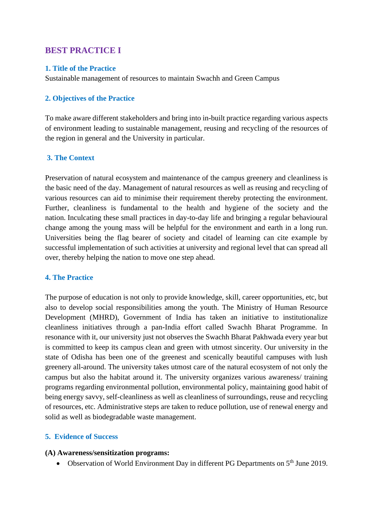# **BEST PRACTICE I**

### **1. Title of the Practice**

Sustainable management of resources to maintain Swachh and Green Campus

### **2. Objectives of the Practice**

To make aware different stakeholders and bring into in-built practice regarding various aspects of environment leading to sustainable management, reusing and recycling of the resources of the region in general and the University in particular.

### **3. The Context**

Preservation of natural ecosystem and maintenance of the campus greenery and cleanliness is the basic need of the day. Management of natural resources as well as reusing and recycling of various resources can aid to minimise their requirement thereby protecting the environment. Further, cleanliness is fundamental to the health and hygiene of the society and the nation. Inculcating these small practices in day-to-day life and bringing a regular behavioural change among the young mass will be helpful for the environment and earth in a long run. Universities being the flag bearer of society and citadel of learning can cite example by successful implementation of such activities at university and regional level that can spread all over, thereby helping the nation to move one step ahead.

## **4. The Practice**

The purpose of education is not only to provide knowledge, skill, career opportunities, etc, but also to develop social responsibilities among the youth. The Ministry of Human Resource Development (MHRD), Government of India has taken an initiative to institutionalize cleanliness initiatives through a pan-India effort called Swachh Bharat Programme. In resonance with it, our university just not observes the Swachh Bharat Pakhwada every year but is committed to keep its campus clean and green with utmost sincerity. Our university in the state of Odisha has been one of the greenest and scenically beautiful campuses with lush greenery all-around. The university takes utmost care of the natural ecosystem of not only the campus but also the habitat around it. The university organizes various awareness/ training programs regarding environmental pollution, environmental policy, maintaining good habit of being energy savvy, self-cleanliness as well as cleanliness of surroundings, reuse and recycling of resources, etc. Administrative steps are taken to reduce pollution, use of renewal energy and solid as well as biodegradable waste management.

## **5. Evidence of Success**

### **(A) Awareness/sensitization programs:**

• Observation of World Environment Day in different PG Departments on 5<sup>th</sup> June 2019.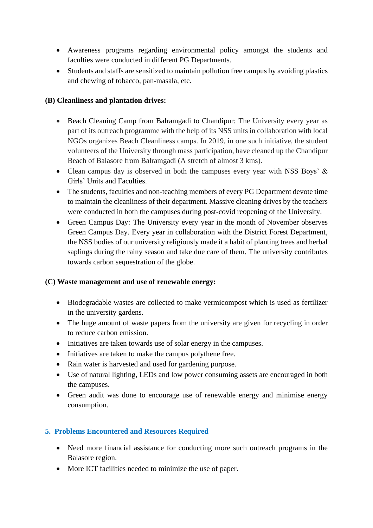- Awareness programs regarding environmental policy amongst the students and faculties were conducted in different PG Departments.
- Students and staffs are sensitized to maintain pollution free campus by avoiding plastics and chewing of tobacco, pan-masala, etc.

## **(B) Cleanliness and plantation drives:**

- Beach Cleaning Camp from Balramgadi to Chandipur: The University every year as part of its outreach programme with the help of its NSS units in collaboration with local NGOs organizes Beach Cleanliness camps. In 2019, in one such initiative, the student volunteers of the University through mass participation, have cleaned up the Chandipur Beach of Balasore from Balramgadi (A stretch of almost 3 kms).
- Clean campus day is observed in both the campuses every year with NSS Boys' & Girls' Units and Faculties.
- The students, faculties and non-teaching members of every PG Department devote time to maintain the cleanliness of their department. Massive cleaning drives by the teachers were conducted in both the campuses during post-covid reopening of the University.
- Green Campus Day: The University every year in the month of November observes Green Campus Day. Every year in collaboration with the District Forest Department, the NSS bodies of our university religiously made it a habit of planting trees and herbal saplings during the rainy season and take due care of them. The university contributes towards carbon sequestration of the globe.

## **(C) Waste management and use of renewable energy:**

- Biodegradable wastes are collected to make vermicompost which is used as fertilizer in the university gardens.
- The huge amount of waste papers from the university are given for recycling in order to reduce carbon emission.
- Initiatives are taken towards use of solar energy in the campuses.
- Initiatives are taken to make the campus polythene free.
- Rain water is harvested and used for gardening purpose.
- Use of natural lighting, LEDs and low power consuming assets are encouraged in both the campuses.
- Green audit was done to encourage use of renewable energy and minimise energy consumption.

## **5. Problems Encountered and Resources Required**

- Need more financial assistance for conducting more such outreach programs in the Balasore region.
- More ICT facilities needed to minimize the use of paper.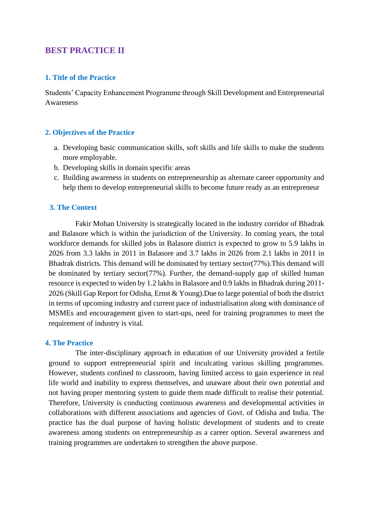# **BEST PRACTICE II**

### **1. Title of the Practice**

Students' Capacity Enhancement Programme through Skill Development and Entrepreneurial Awareness

### **2. Objectives of the Practice**

- a. Developing basic communication skills, soft skills and life skills to make the students more employable.
- b. Developing skills in domain specific areas
- c. Building awareness in students on entrepreneurship as alternate career opportunity and help them to develop entrepreneurial skills to become future ready as an entrepreneur

### **3. The Context**

Fakir Mohan University is strategically located in the industry corridor of Bhadrak and Balasore which is within the jurisdiction of the University. In coming years, the total workforce demands for skilled jobs in Balasore district is expected to grow to 5.9 lakhs in 2026 from 3.3 lakhs in 2011 in Balasore and 3.7 lakhs in 2026 from 2.1 lakhs in 2011 in Bhadrak districts. This demand will be dominated by tertiary sector(77%).This demand will be dominated by tertiary sector(77%). Further, the demand-supply gap of skilled human resource is expected to widen by 1.2 lakhs in Balasore and 0.9 lakhs in Bhadrak during 2011- 2026 (Skill Gap Report for Odisha, Ernst & Young).Due to large potential of both the district in terms of upcoming industry and current pace of industrialisation along with dominance of MSMEs and encouragement given to start-ups, need for training programmes to meet the requirement of industry is vital.

### **4. The Practice**

The inter-disciplinary approach in education of our University provided a fertile ground to support entrepreneurial spirit and inculcating various skilling programmes. However, students confined to classroom, having limited access to gain experience in real life world and inability to express themselves, and unaware about their own potential and not having proper mentoring system to guide them made difficult to realise their potential. Therefore, University is conducting continuous awareness and developmental activities in collaborations with different associations and agencies of Govt. of Odisha and India. The practice has the dual purpose of having holistic development of students and to create awareness among students on entrepreneurship as a career option. Several awareness and training programmes are undertaken to strengthen the above purpose.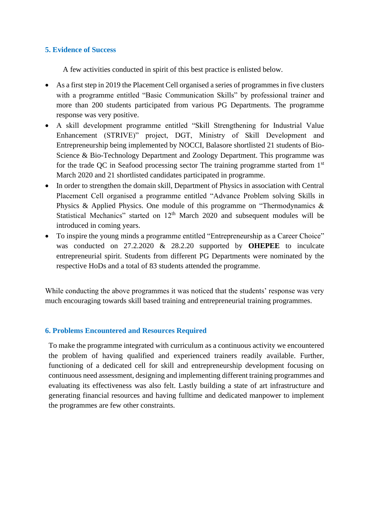### **5. Evidence of Success**

A few activities conducted in spirit of this best practice is enlisted below.

- As a first step in 2019 the Placement Cell organised a series of programmes in five clusters with a programme entitled "Basic Communication Skills" by professional trainer and more than 200 students participated from various PG Departments. The programme response was very positive.
- A skill development programme entitled "Skill Strengthening for Industrial Value Enhancement (STRIVE)" project, DGT, Ministry of Skill Development and Entrepreneurship being implemented by NOCCI, Balasore shortlisted 21 students of Bio-Science & Bio-Technology Department and Zoology Department. This programme was for the trade QC in Seafood processing sector The training programme started from 1st March 2020 and 21 shortlisted candidates participated in programme.
- In order to strengthen the domain skill, Department of Physics in association with Central Placement Cell organised a programme entitled "Advance Problem solving Skills in Physics & Applied Physics. One module of this programme on "Thermodynamics & Statistical Mechanics" started on  $12<sup>th</sup>$  March 2020 and subsequent modules will be introduced in coming years.
- To inspire the young minds a programme entitled "Entrepreneurship as a Career Choice" was conducted on 27.2.2020 & 28.2.20 supported by **OHEPEE** to inculcate entrepreneurial spirit. Students from different PG Departments were nominated by the respective HoDs and a total of 83 students attended the programme.

While conducting the above programmes it was noticed that the students' response was very much encouraging towards skill based training and entrepreneurial training programmes.

## **6. Problems Encountered and Resources Required**

To make the programme integrated with curriculum as a continuous activity we encountered the problem of having qualified and experienced trainers readily available. Further, functioning of a dedicated cell for skill and entrepreneurship development focusing on continuous need assessment, designing and implementing different training programmes and evaluating its effectiveness was also felt. Lastly building a state of art infrastructure and generating financial resources and having fulltime and dedicated manpower to implement the programmes are few other constraints.